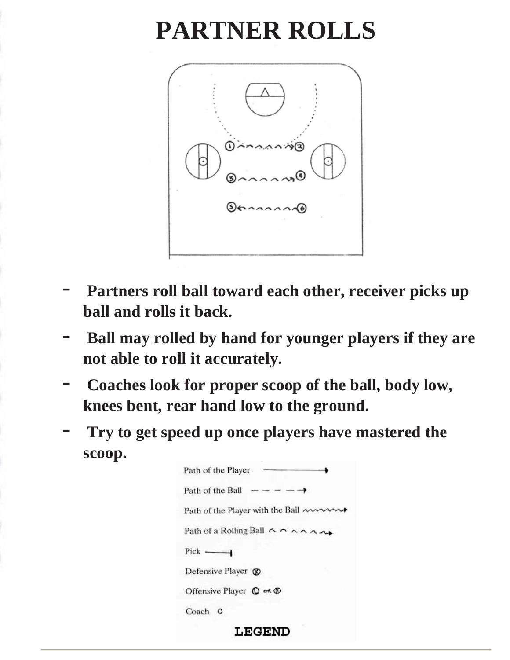## **PARTNER ROLLS**



- Partners roll ball toward each other, receiver picks up **ball and rolls it back.**
- **Ball may rolled by hand for younger players if they are not able to roll it accurately.**
- Coaches look for proper scoop of the ball, body low, **knees bent, rear hand low to the ground.**
- **Try to get speed up once players have mastered the scoop.**

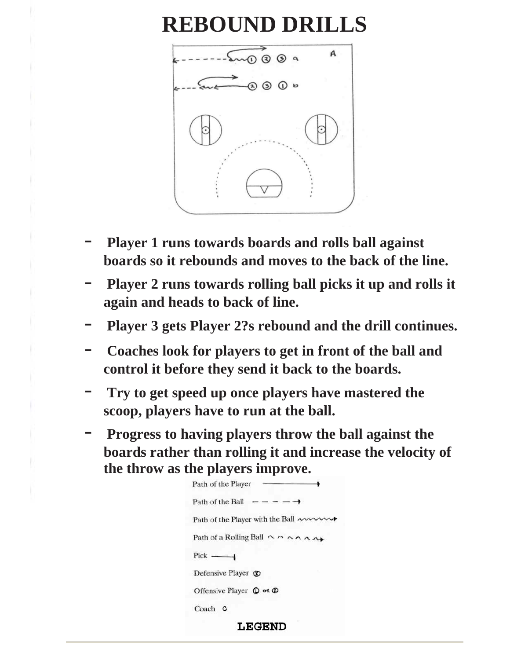#### **REBOUND DRILLS**



- **Player 1 runs towards boards and rolls ball against boards so it rebounds and moves to the back of the line.**
- **Player 2 runs towards rolling ball picks it up and rolls it again and heads to back of line.**
- **Player 3 gets Player 2?s rebound and the drill continues.**
- **Coaches look for players to get in front of the ball and control it before they send it back to the boards.**
- **Try to get speed up once players have mastered the scoop, players have to run at the ball.**
- **Progress to having players throw the ball against the boards rather than rolling it and increase the velocity of the throw as the players improve.**

| Path of the Player                                                 |
|--------------------------------------------------------------------|
| Path of the Ball $- - - - \rightarrow$                             |
| Path of the Player with the Ball www                               |
| Path of a Rolling Ball $\wedge \wedge \wedge \wedge \wedge \wedge$ |
| $Pick$ —                                                           |
| Defensive Player Co                                                |
| Offensive Player $\mathbb{O}$ or $\mathbb{O}$                      |
| Coach C                                                            |
|                                                                    |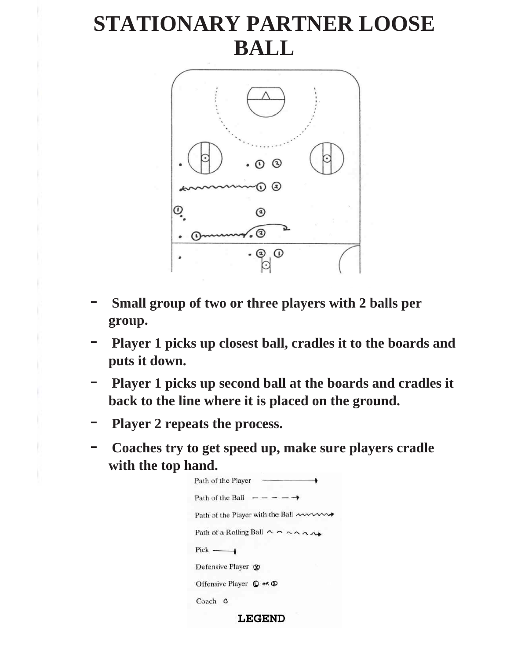### **STATIONARY PARTNER LOOSE BALL**



- **Small group of two or three players with 2 balls per group.**
- **Player 1 picks up closest ball, cradles it to the boards and puts it down.**
- **Player 1 picks up second ball at the boards and cradles it back to the line where it is placed on the ground.**
- Player 2 repeats the process.
- **Coaches try to get speed up, make sure players cradle with the top hand.**

| Offensive Player $\mathbb O$ or $\mathbb O$                        |
|--------------------------------------------------------------------|
| $Pick$ —<br>Defensive Player ®                                     |
| Path of a Rolling Ball $\wedge \wedge \wedge \wedge \wedge \wedge$ |
| Path of the Player with the Ball ~~~~~                             |
| Path of the Ball $- - - - \rightarrow$                             |
| Path of the Player                                                 |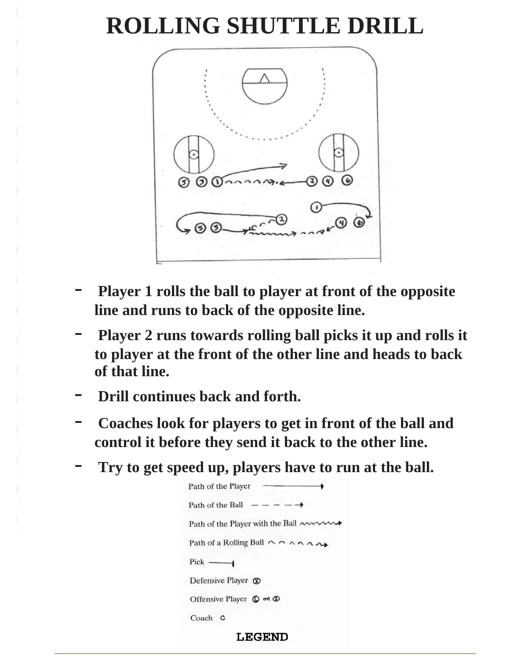### **ROLLING SHUTTLE DRILL**



- **Player 1 rolls the ball to player at front of the opposite line and runs to back of the opposite line.**
- **Player 2 runs towards rolling ball picks it up and rolls it to player at the front of the other line and heads to back of that line.**
- **Drill continues back and forth.**
- **Coaches look for players to get in front of the ball and control it before they send it back to the other line.**
- **Try to get speed up, players have to run at the ball.**

| Path of the Player                                                 |
|--------------------------------------------------------------------|
| Path of the Ball $- - - - \rightarrow$                             |
| Path of the Player with the Ball $\sim$                            |
| Path of a Rolling Ball $\wedge \wedge \wedge \wedge \wedge \wedge$ |
| Pick $\longrightarrow$                                             |
| Defensive Player $\circledR$                                       |
| Offensive Player $\mathbb{Q}$ or $\mathbb{Z}$                      |
| Coach<br>с                                                         |
|                                                                    |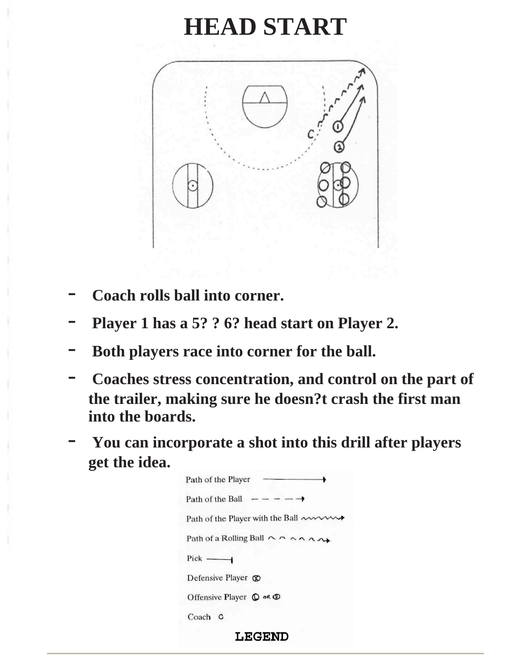### **HEAD START**



- **Coach rolls ball into corner.**
- **Player 1 has a 5? ? 6? head start on Player 2.**
- **Both players race into corner for the ball.**
- **Coaches stress concentration, and control on the part of the trailer, making sure he doesn?t crash the first man into the boards.**
- **You can incorporate a shot into this drill after players get the idea.**

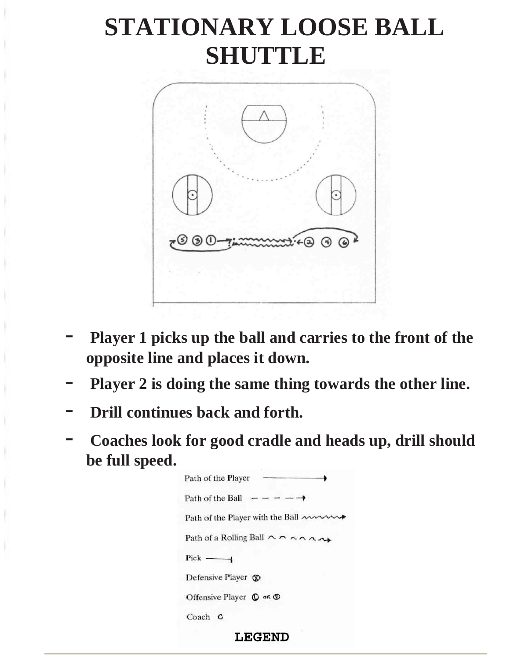## **STATIONARY LOOSE BALL SHUTTLE**



- Player 1 picks up the ball and carries to the front of the **opposite line and places it down.**
- **Player 2 is doing the same thing towards the other line.**
- **Drill continues back and forth.**
- **Coaches look for good cradle and heads up, drill should be full speed.**

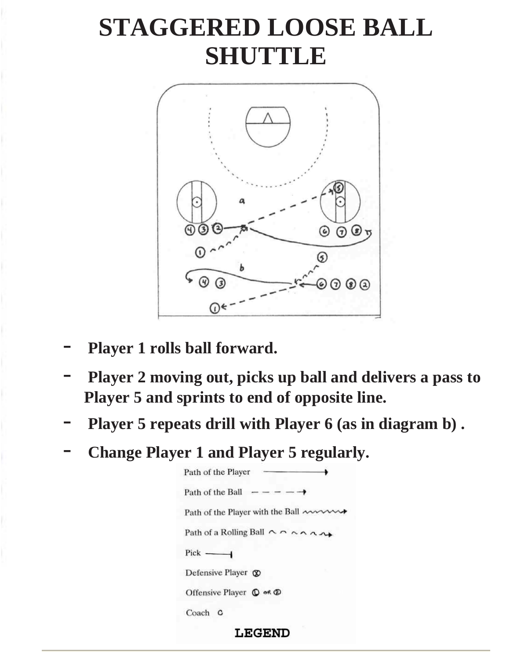## **STAGGERED LOOSE BALL SHUTTLE**



- Player 1 rolls ball forward.
- **Player 2 moving out, picks up ball and delivers a pass to Player 5 and sprints to end of opposite line.**
- **Player 5 repeats drill with Player 6 (as in diagram b) .**
- **Change Player 1 and Player 5 regularly.**

| Path of the Player                                                 |
|--------------------------------------------------------------------|
| Path of the Ball $- - - - \rightarrow$                             |
| Path of the Player with the Ball $\sim\sim\sim$                    |
| Path of a Rolling Ball $\wedge \wedge \wedge \wedge \wedge \wedge$ |
| $Pick$ —                                                           |
| Defensive Player $\circledR$                                       |
| Offensive Player $\mathbb O$ or $\mathbb O$                        |
| Coach C                                                            |
|                                                                    |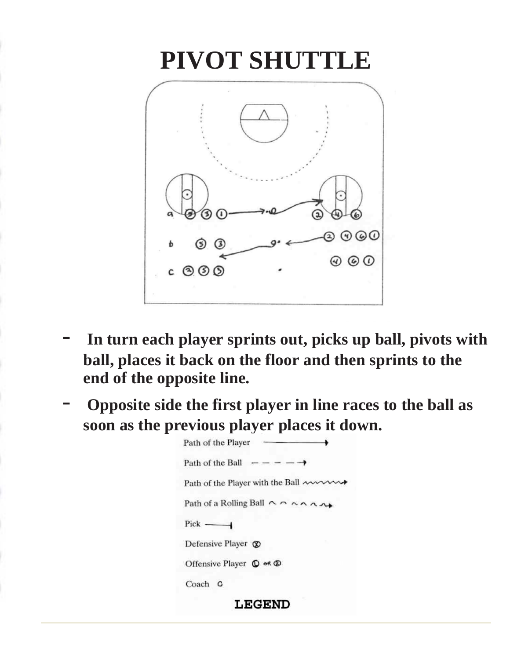## **PIVOT SHUTTLE**



- **In turn each player sprints out, picks up ball, pivots with ball, places it back on the floor and then sprints to the end of the opposite line.**
- **Opposite side the first player in line races to the ball as soon as the previous player places it down.**

Path of the Player Path of the Ball  $- - - - \rightarrow$ Path of the Player with the Ball mum Path of a Rolling Ball  $\land \land \land \land \land \land \land \land$  $Pick$  — Defensive Player ® Offensive Player  $\mathbb O$  or  $\mathbb O$ Coach C